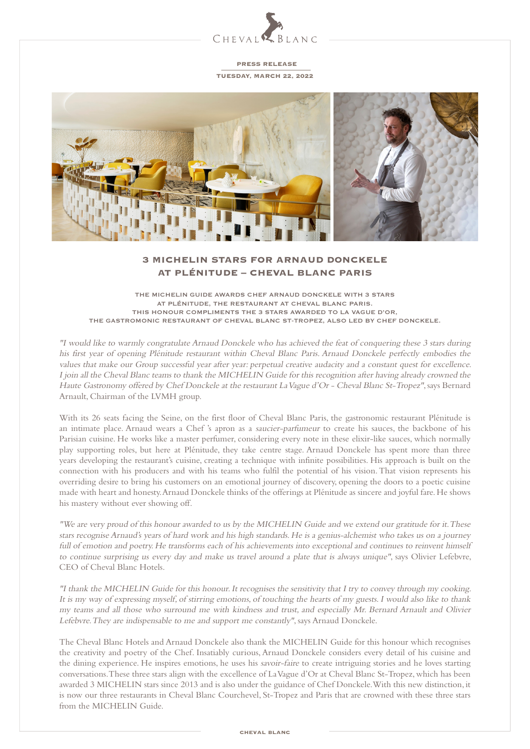

PRESS RELEASE

TUESDAY, MARCH 22, 2022



# 3 MICHELIN STARS FOR ARNAUD DONCKELE AT PLÉNITUDE – CHEVAL BLANC PARIS

THE MICHELIN GUIDE AWARDS CHEF ARNAUD DONCKELE WITH 3 STARS AT PLÉNITUDE, THE RESTAURANT AT CHEVAL BLANC PARIS. THIS HONOUR COMPLIMENTS THE 3 STARS AWARDED TO LA VAGUE D'OR, THE GASTROMONIC RESTAURANT OF CHEVAL BLANC ST-TROPEZ, ALSO LED BY CHEF DONCKELE.

"I would like to warmly congratulate Arnaud Donckele who has achieved the feat of conquering these 3 stars during his first year of opening Plénitude restaurant within Cheval Blanc Paris. Arnaud Donckele perfectly embodies the values that make our Group successful year after year: perpetual creative audacity and a constant quest for excellence. I join all the Cheval Blanc teams to thank the MICHELIN Guide for this recognition after having already crowned the Haute Gastronomy offered by Chef Donckele at the restaurant La Vague d'Or - Cheval Blanc St-Tropez", says Bernard Arnault, Chairman of the LVMH group.

With its 26 seats facing the Seine, on the first floor of Cheval Blanc Paris, the gastronomic restaurant Plénitude is an intimate place. Arnaud wears a Chef 's apron as a saucier-parfumeur to create his sauces, the backbone of his Parisian cuisine. He works like a master perfumer, considering every note in these elixir-like sauces, which normally play supporting roles, but here at Plénitude, they take centre stage. Arnaud Donckele has spent more than three years developing the restaurant's cuisine, creating a technique with infinite possibilities. His approach is built on the connection with his producers and with his teams who fulfil the potential of his vision. That vision represents his overriding desire to bring his customers on an emotional journey of discovery, opening the doors to a poetic cuisine made with heart and honesty. Arnaud Donckele thinks of the offerings at Plénitude as sincere and joyful fare. He shows his mastery without ever showing off.

"We are very proud of this honour awarded to us by the MICHELIN Guide and we extend our gratitude for it. These stars recognise Arnaud's years of hard work and his high standards. He is a genius-alchemist who takes us on a journey full of emotion and poetry. He transforms each of his achievements into exceptional and continues to reinvent himself to continue surprising us every day and make us travel around a plate that is always unique", says Olivier Lefebvre, CEO of Cheval Blanc Hotels.

"I thank the MICHELIN Guide for this honour. It recognises the sensitivity that I try to convey through my cooking. It is my way of expressing myself, of stirring emotions, of touching the hearts of my guests. I would also like to thank my teams and all those who surround me with kindness and trust, and especially Mr. Bernard Arnault and Olivier Lefebvre. They are indispensable to me and support me constantly", says Arnaud Donckele.

The Cheval Blanc Hotels and Arnaud Donckele also thank the MICHELIN Guide for this honour which recognises the creativity and poetry of the Chef. Insatiably curious, Arnaud Donckele considers every detail of his cuisine and the dining experience. He inspires emotions, he uses his savoir-faire to create intriguing stories and he loves starting conversations. These three stars align with the excellence of La Vague d'Or at Cheval Blanc St-Tropez, which has been awarded 3 MICHELIN stars since 2013 and is also under the guidance of Chef Donckele. With this new distinction, it is now our three restaurants in Cheval Blanc Courchevel, St-Tropez and Paris that are crowned with these three stars from the MICHELIN Guide.